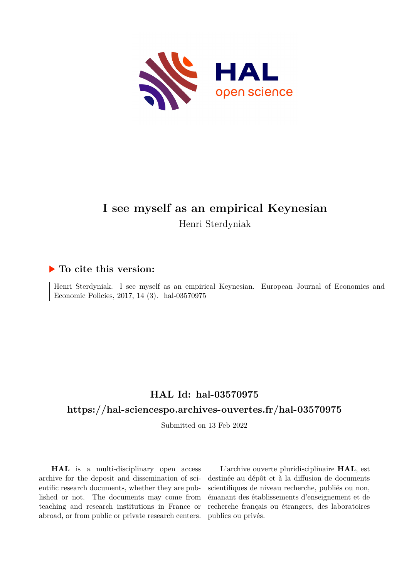

# **I see myself as an empirical Keynesian** Henri Sterdyniak

### **To cite this version:**

Henri Sterdyniak. I see myself as an empirical Keynesian. European Journal of Economics and Economic Policies,  $2017, 14$  (3). hal-03570975

## **HAL Id: hal-03570975**

## **<https://hal-sciencespo.archives-ouvertes.fr/hal-03570975>**

Submitted on 13 Feb 2022

**HAL** is a multi-disciplinary open access archive for the deposit and dissemination of scientific research documents, whether they are published or not. The documents may come from teaching and research institutions in France or abroad, or from public or private research centers.

L'archive ouverte pluridisciplinaire **HAL**, est destinée au dépôt et à la diffusion de documents scientifiques de niveau recherche, publiés ou non, émanant des établissements d'enseignement et de recherche français ou étrangers, des laboratoires publics ou privés.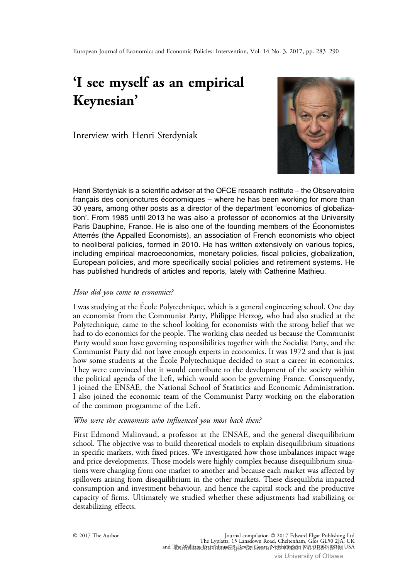European Journal of Economics and Economic Policies: Intervention, Vol. 14 No. 3, 2017, pp. 283–290

# 'I see myself as an empirical Keynesian'

Interview with Henri Sterdyniak



Henri Sterdyniak is a scientific adviser at the OFCE research institute – the Observatoire français des conjonctures économiques – where he has been working for more than 30 years, among other posts as a director of the department 'economics of globalization'. From 1985 until 2013 he was also a professor of economics at the University Paris Dauphine, France. He is also one of the founding members of the Économistes Atterrés (the Appalled Economists), an association of French economists who object to neoliberal policies, formed in 2010. He has written extensively on various topics, including empirical macroeconomics, monetary policies, fiscal policies, globalization, European policies, and more specifically social policies and retirement systems. He has published hundreds of articles and reports, lately with Catherine Mathieu.

#### How did you come to economics?

I was studying at the École Polytechnique, which is a general engineering school. One day an economist from the Communist Party, Philippe Herzog, who had also studied at the Polytechnique, came to the school looking for economists with the strong belief that we had to do economics for the people. The working class needed us because the Communist Party would soon have governing responsibilities together with the Socialist Party, and the Communist Party did not have enough experts in economics. It was 1972 and that is just how some students at the École Polytechnique decided to start a career in economics. They were convinced that it would contribute to the development of the society within the political agenda of the Left, which would soon be governing France. Consequently, I joined the ENSAE, the National School of Statistics and Economic Administration. I also joined the economic team of the Communist Party working on the elaboration of the common programme of the Left.

#### Who were the economists who influenced you most back then?

First Edmond Malinvaud, a professor at the ENSAE, and the general disequilibrium school. The objective was to build theoretical models to explain disequilibrium situations in specific markets, with fixed prices. We investigated how those imbalances impact wage and price developments. Those models were highly complex because disequilibrium situations were changing from one market to another and because each market was affected by spillovers arising from disequilibrium in the other markets. These disequilibria impacted consumption and investment behaviour, and hence the capital stock and the productive capacity of firms. Ultimately we studied whether these adjustments had stabilizing or destabilizing effects.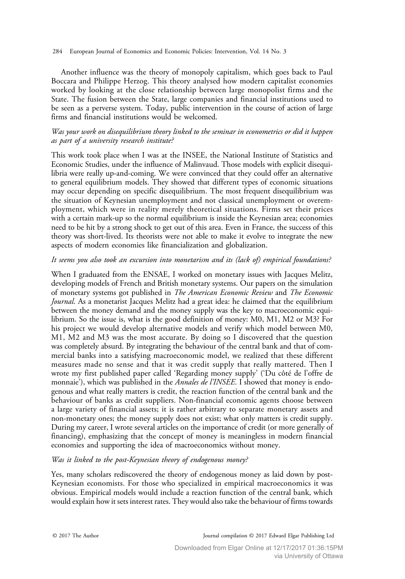284 European Journal of Economics and Economic Policies: Intervention, Vol. 14 No. 3

Another influence was the theory of monopoly capitalism, which goes back to Paul Boccara and Philippe Herzog. This theory analysed how modern capitalist economies worked by looking at the close relationship between large monopolist firms and the State. The fusion between the State, large companies and financial institutions used to be seen as a perverse system. Today, public intervention in the course of action of large firms and financial institutions would be welcomed.

#### Was your work on disequilibrium theory linked to the seminar in econometrics or did it happen as part of a university research institute?

This work took place when I was at the INSEE, the National Institute of Statistics and Economic Studies, under the influence of Malinvaud. Those models with explicit disequilibria were really up-and-coming. We were convinced that they could offer an alternative to general equilibrium models. They showed that different types of economic situations may occur depending on specific disequilibrium. The most frequent disequilibrium was the situation of Keynesian unemployment and not classical unemployment or overemployment, which were in reality merely theoretical situations. Firms set their prices with a certain mark-up so the normal equilibrium is inside the Keynesian area; economies need to be hit by a strong shock to get out of this area. Even in France, the success of this theory was short-lived. Its theorists were not able to make it evolve to integrate the new aspects of modern economies like financialization and globalization.

#### It seems you also took an excursion into monetarism and its (lack of) empirical foundations?

When I graduated from the ENSAE, I worked on monetary issues with Jacques Melitz, developing models of French and British monetary systems. Our papers on the simulation of monetary systems got published in The American Economic Review and The Economic Journal. As a monetarist Jacques Melitz had a great idea: he claimed that the equilibrium between the money demand and the money supply was the key to macroeconomic equilibrium. So the issue is, what is the good definition of money: M0, M1, M2 or M3? For his project we would develop alternative models and verify which model between M0, M1, M2 and M3 was the most accurate. By doing so I discovered that the question was completely absurd. By integrating the behaviour of the central bank and that of commercial banks into a satisfying macroeconomic model, we realized that these different measures made no sense and that it was credit supply that really mattered. Then I wrote my first published paper called 'Regarding money supply' ('Du côté de l'offre de monnaie'), which was published in the *Annales de l'INSEE*. I showed that money is endogenous and what really matters is credit, the reaction function of the central bank and the behaviour of banks as credit suppliers. Non-financial economic agents choose between a large variety of financial assets; it is rather arbitrary to separate monetary assets and non-monetary ones; the money supply does not exist; what only matters is credit supply. During my career, I wrote several articles on the importance of credit (or more generally of financing), emphasizing that the concept of money is meaningless in modern financial economies and supporting the idea of macroeconomics without money.

#### Was it linked to the post-Keynesian theory of endogenous money?

Yes, many scholars rediscovered the theory of endogenous money as laid down by post-Keynesian economists. For those who specialized in empirical macroeconomics it was obvious. Empirical models would include a reaction function of the central bank, which would explain how it sets interest rates. They would also take the behaviour of firms towards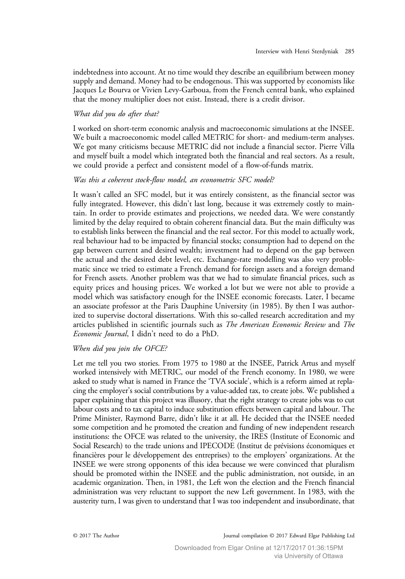indebtedness into account. At no time would they describe an equilibrium between money supply and demand. Money had to be endogenous. This was supported by economists like Jacques Le Bourva or Vivien Levy-Garboua, from the French central bank, who explained that the money multiplier does not exist. Instead, there is a credit divisor.

#### What did you do after that?

I worked on short-term economic analysis and macroeconomic simulations at the INSEE. We built a macroeconomic model called METRIC for short- and medium-term analyses. We got many criticisms because METRIC did not include a financial sector. Pierre Villa and myself built a model which integrated both the financial and real sectors. As a result, we could provide a perfect and consistent model of a flow-of-funds matrix.

#### Was this a coherent stock-flow model, an econometric SFC model?

It wasn't called an SFC model, but it was entirely consistent, as the financial sector was fully integrated. However, this didn't last long, because it was extremely costly to maintain. In order to provide estimates and projections, we needed data. We were constantly limited by the delay required to obtain coherent financial data. But the main difficulty was to establish links between the financial and the real sector. For this model to actually work, real behaviour had to be impacted by financial stocks; consumption had to depend on the gap between current and desired wealth; investment had to depend on the gap between the actual and the desired debt level, etc. Exchange-rate modelling was also very problematic since we tried to estimate a French demand for foreign assets and a foreign demand for French assets. Another problem was that we had to simulate financial prices, such as equity prices and housing prices. We worked a lot but we were not able to provide a model which was satisfactory enough for the INSEE economic forecasts. Later, I became an associate professor at the Paris Dauphine University (in 1985). By then I was authorized to supervise doctoral dissertations. With this so-called research accreditation and my articles published in scientific journals such as The American Economic Review and The Economic Journal, I didn't need to do a PhD.

#### When did you join the OFCE?

Let me tell you two stories. From 1975 to 1980 at the INSEE, Patrick Artus and myself worked intensively with METRIC, our model of the French economy. In 1980, we were asked to study what is named in France the 'TVA sociale', which is a reform aimed at replacing the employer's social contributions by a value-added tax, to create jobs. We published a paper explaining that this project was illusory, that the right strategy to create jobs was to cut labour costs and to tax capital to induce substitution effects between capital and labour. The Prime Minister, Raymond Barre, didn't like it at all. He decided that the INSEE needed some competition and he promoted the creation and funding of new independent research institutions: the OFCE was related to the university, the IRES (Institute of Economic and Social Research) to the trade unions and IPECODE (Institut de prévisions économiques et financières pour le développement des entreprises) to the employers' organizations. At the INSEE we were strong opponents of this idea because we were convinced that pluralism should be promoted within the INSEE and the public administration, not outside, in an academic organization. Then, in 1981, the Left won the election and the French financial administration was very reluctant to support the new Left government. In 1983, with the austerity turn, I was given to understand that I was too independent and insubordinate, that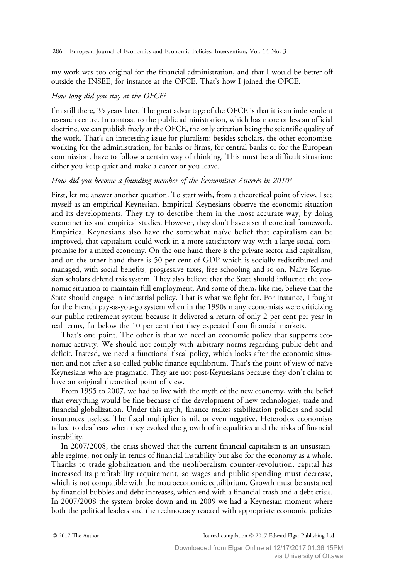286 European Journal of Economics and Economic Policies: Intervention, Vol. 14 No. 3

my work was too original for the financial administration, and that I would be better off outside the INSEE, for instance at the OFCE. That's how I joined the OFCE.

#### How long did you stay at the OFCE?

I'm still there, 35 years later. The great advantage of the OFCE is that it is an independent research centre. In contrast to the public administration, which has more or less an official doctrine, we can publish freely at the OFCE, the only criterion being the scientific quality of the work. That's an interesting issue for pluralism: besides scholars, the other economists working for the administration, for banks or firms, for central banks or for the European commission, have to follow a certain way of thinking. This must be a difficult situation: either you keep quiet and make a career or you leave.

#### How did you become a founding member of the Économistes Atterrés in 2010?

First, let me answer another question. To start with, from a theoretical point of view, I see myself as an empirical Keynesian. Empirical Keynesians observe the economic situation and its developments. They try to describe them in the most accurate way, by doing econometrics and empirical studies. However, they don't have a set theoretical framework. Empirical Keynesians also have the somewhat naïve belief that capitalism can be improved, that capitalism could work in a more satisfactory way with a large social compromise for a mixed economy. On the one hand there is the private sector and capitalism, and on the other hand there is 50 per cent of GDP which is socially redistributed and managed, with social benefits, progressive taxes, free schooling and so on. Naïve Keynesian scholars defend this system. They also believe that the State should influence the economic situation to maintain full employment. And some of them, like me, believe that the State should engage in industrial policy. That is what we fight for. For instance, I fought for the French pay-as-you-go system when in the 1990s many economists were criticizing our public retirement system because it delivered a return of only 2 per cent per year in real terms, far below the 10 per cent that they expected from financial markets.

That's one point. The other is that we need an economic policy that supports economic activity. We should not comply with arbitrary norms regarding public debt and deficit. Instead, we need a functional fiscal policy, which looks after the economic situation and not after a so-called public finance equilibrium. That's the point of view of naïve Keynesians who are pragmatic. They are not post-Keynesians because they don't claim to have an original theoretical point of view.

From 1995 to 2007, we had to live with the myth of the new economy, with the belief that everything would be fine because of the development of new technologies, trade and financial globalization. Under this myth, finance makes stabilization policies and social insurances useless. The fiscal multiplier is nil, or even negative. Heterodox economists talked to deaf ears when they evoked the growth of inequalities and the risks of financial instability.

In 2007/2008, the crisis showed that the current financial capitalism is an unsustainable regime, not only in terms of financial instability but also for the economy as a whole. Thanks to trade globalization and the neoliberalism counter-revolution, capital has increased its profitability requirement, so wages and public spending must decrease, which is not compatible with the macroeconomic equilibrium. Growth must be sustained by financial bubbles and debt increases, which end with a financial crash and a debt crisis. In 2007/2008 the system broke down and in 2009 we had a Keynesian moment where both the political leaders and the technocracy reacted with appropriate economic policies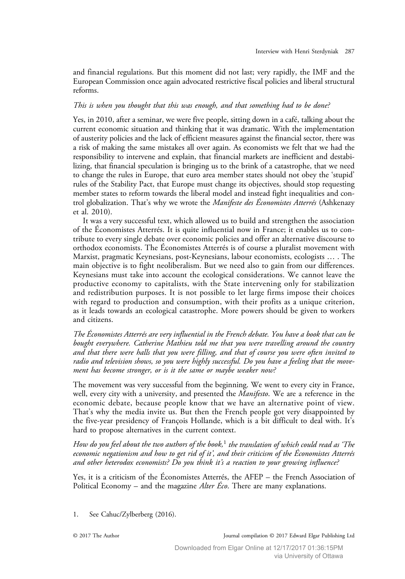and financial regulations. But this moment did not last; very rapidly, the IMF and the European Commission once again advocated restrictive fiscal policies and liberal structural reforms.

#### This is when you thought that this was enough, and that something had to be done?

Yes, in 2010, after a seminar, we were five people, sitting down in a café, talking about the current economic situation and thinking that it was dramatic. With the implementation of austerity policies and the lack of efficient measures against the financial sector, there was a risk of making the same mistakes all over again. As economists we felt that we had the responsibility to intervene and explain, that financial markets are inefficient and destabilizing, that financial speculation is bringing us to the brink of a catastrophe, that we need to change the rules in Europe, that euro area member states should not obey the 'stupid' rules of the Stability Pact, that Europe must change its objectives, should stop requesting member states to reform towards the liberal model and instead fight inequalities and control globalization. That's why we wrote the *Manifeste des Économistes Atterrés* (Ashkenazy et al. 2010).

It was a very successful text, which allowed us to build and strengthen the association of the Économistes Atterrés. It is quite influential now in France; it enables us to contribute to every single debate over economic policies and offer an alternative discourse to orthodox economists. The Économistes Atterrés is of course a pluralist movement with Marxist, pragmatic Keynesians, post-Keynesians, labour economists, ecologists … . The main objective is to fight neoliberalism. But we need also to gain from our differences. Keynesians must take into account the ecological considerations. We cannot leave the productive economy to capitalists, with the State intervening only for stabilization and redistribution purposes. It is not possible to let large firms impose their choices with regard to production and consumption, with their profits as a unique criterion, as it leads towards an ecological catastrophe. More powers should be given to workers and citizens.

The Économistes Atterrés are very influential in the French debate. You have a book that can be bought everywhere. Catherine Mathieu told me that you were travelling around the country and that there were halls that you were filling, and that of course you were often invited to radio and television shows, so you were highly successful. Do you have a feeling that the movement has become stronger, or is it the same or maybe weaker now?

The movement was very successful from the beginning. We went to every city in France, well, every city with a university, and presented the *Manifesto*. We are a reference in the economic debate, because people know that we have an alternative point of view. That's why the media invite us. But then the French people got very disappointed by the five-year presidency of François Hollande, which is a bit difficult to deal with. It's hard to propose alternatives in the current context.

How do you feel about the two authors of the book,<sup>1</sup> the translation of which could read as 'The economic negationism and how to get rid of it', and their criticism of the Économistes Atterrés and other heterodox economists? Do you think it's a reaction to your growing influence?

Yes, it is a criticism of the Économistes Atterrés, the AFEP – the French Association of Political Economy – and the magazine *Alter Éco*. There are many explanations.

1. See Cahuc/Zylberberg (2016).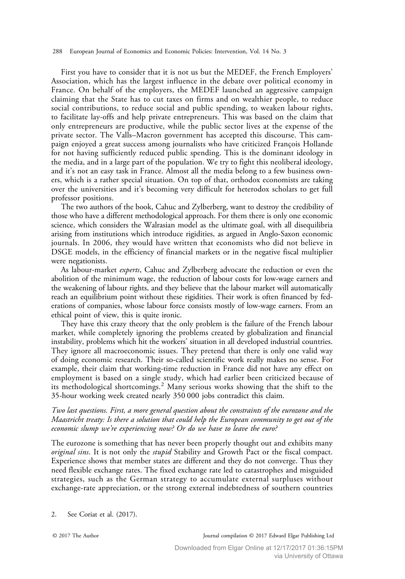288 European Journal of Economics and Economic Policies: Intervention, Vol. 14 No. 3

First you have to consider that it is not us but the MEDEF, the French Employers' Association, which has the largest influence in the debate over political economy in France. On behalf of the employers, the MEDEF launched an aggressive campaign claiming that the State has to cut taxes on firms and on wealthier people, to reduce social contributions, to reduce social and public spending, to weaken labour rights, to facilitate lay-offs and help private entrepreneurs. This was based on the claim that only entrepreneurs are productive, while the public sector lives at the expense of the private sector. The Valls–Macron government has accepted this discourse. This campaign enjoyed a great success among journalists who have criticized François Hollande for not having sufficiently reduced public spending. This is the dominant ideology in the media, and in a large part of the population. We try to fight this neoliberal ideology, and it's not an easy task in France. Almost all the media belong to a few business owners, which is a rather special situation. On top of that, orthodox economists are taking over the universities and it's becoming very difficult for heterodox scholars to get full professor positions.

The two authors of the book, Cahuc and Zylberberg, want to destroy the credibility of those who have a different methodological approach. For them there is only one economic science, which considers the Walrasian model as the ultimate goal, with all disequilibria arising from institutions which introduce rigidities, as argued in Anglo-Saxon economic journals. In 2006, they would have written that economists who did not believe in DSGE models, in the efficiency of financial markets or in the negative fiscal multiplier were negationists.

As labour-market *experts*, Cahuc and Zylberberg advocate the reduction or even the abolition of the minimum wage, the reduction of labour costs for low-wage earners and the weakening of labour rights, and they believe that the labour market will automatically reach an equilibrium point without these rigidities. Their work is often financed by federations of companies, whose labour force consists mostly of low-wage earners. From an ethical point of view, this is quite ironic.

They have this crazy theory that the only problem is the failure of the French labour market, while completely ignoring the problems created by globalization and financial instability, problems which hit the workers' situation in all developed industrial countries. They ignore all macroeconomic issues. They pretend that there is only one valid way of doing economic research. Their so-called scientific work really makes no sense. For example, their claim that working-time reduction in France did not have any effect on employment is based on a single study, which had earlier been criticized because of its methodological shortcomings.<sup>2</sup> Many serious works showing that the shift to the 35-hour working week created nearly 350 000 jobs contradict this claim.

#### Two last questions. First, a more general question about the constraints of the eurozone and the Maastricht treaty: Is there a solution that could help the European community to get out of the economic slump we're experiencing now? Or do we have to leave the euro?

The eurozone is something that has never been properly thought out and exhibits many original sins. It is not only the *stupid* Stability and Growth Pact or the fiscal compact. Experience shows that member states are different and they do not converge. Thus they need flexible exchange rates. The fixed exchange rate led to catastrophes and misguided strategies, such as the German strategy to accumulate external surpluses without exchange-rate appreciation, or the strong external indebtedness of southern countries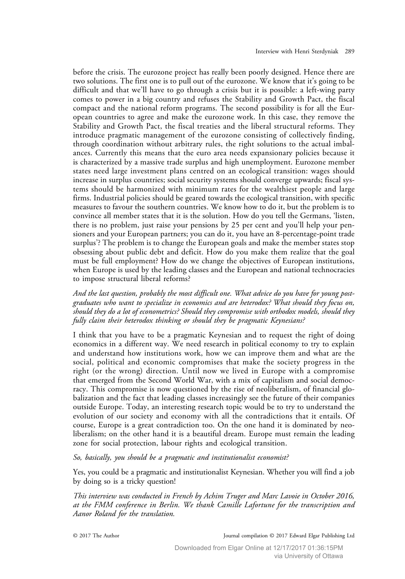before the crisis. The eurozone project has really been poorly designed. Hence there are two solutions. The first one is to pull out of the eurozone. We know that it's going to be difficult and that we'll have to go through a crisis but it is possible: a left-wing party comes to power in a big country and refuses the Stability and Growth Pact, the fiscal compact and the national reform programs. The second possibility is for all the European countries to agree and make the eurozone work. In this case, they remove the Stability and Growth Pact, the fiscal treaties and the liberal structural reforms. They introduce pragmatic management of the eurozone consisting of collectively finding, through coordination without arbitrary rules, the right solutions to the actual imbalances. Currently this means that the euro area needs expansionary policies because it is characterized by a massive trade surplus and high unemployment. Eurozone member states need large investment plans centred on an ecological transition: wages should increase in surplus countries; social security systems should converge upwards; fiscal systems should be harmonized with minimum rates for the wealthiest people and large firms. Industrial policies should be geared towards the ecological transition, with specific measures to favour the southern countries. We know how to do it, but the problem is to convince all member states that it is the solution. How do you tell the Germans, 'listen, there is no problem, just raise your pensions by 25 per cent and you'll help your pensioners and your European partners; you can do it, you have an 8-percentage-point trade surplus'? The problem is to change the European goals and make the member states stop obsessing about public debt and deficit. How do you make them realize that the goal must be full employment? How do we change the objectives of European institutions, when Europe is used by the leading classes and the European and national technocracies to impose structural liberal reforms?

And the last question, probably the most difficult one. What advice do you have for young postgraduates who want to specialize in economics and are heterodox? What should they focus on, should they do a lot of econometrics? Should they compromise with orthodox models, should they fully claim their heterodox thinking or should they be pragmatic Keynesians?

I think that you have to be a pragmatic Keynesian and to request the right of doing economics in a different way. We need research in political economy to try to explain and understand how institutions work, how we can improve them and what are the social, political and economic compromises that make the society progress in the right (or the wrong) direction. Until now we lived in Europe with a compromise that emerged from the Second World War, with a mix of capitalism and social democracy. This compromise is now questioned by the rise of neoliberalism, of financial globalization and the fact that leading classes increasingly see the future of their companies outside Europe. Today, an interesting research topic would be to try to understand the evolution of our society and economy with all the contradictions that it entails. Of course, Europe is a great contradiction too. On the one hand it is dominated by neoliberalism; on the other hand it is a beautiful dream. Europe must remain the leading zone for social protection, labour rights and ecological transition.

So, basically, you should be a pragmatic and institutionalist economist?

Yes, you could be a pragmatic and institutionalist Keynesian. Whether you will find a job by doing so is a tricky question!

This interview was conducted in French by Achim Truger and Marc Lavoie in October 2016, at the FMM conference in Berlin. We thank Camille Lafortune for the transcription and Aanor Roland for the translation.